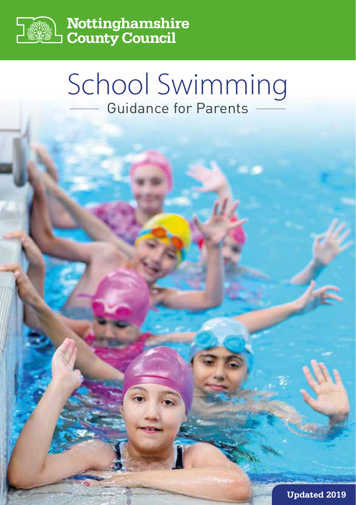

**Nottinghamshire<br>County Council** 

# School Swimming Guidance for Parents

**Updated 2019**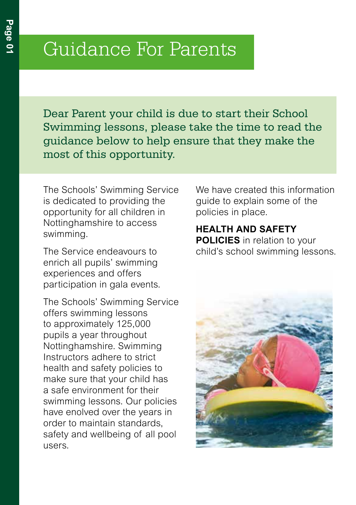# Guidance For Parents

Dear Parent your child is due to start their School Swimming lessons, please take the time to read the guidance below to help ensure that they make the most of this opportunity.

The Schools' Swimming Service is dedicated to providing the opportunity for all children in Nottinghamshire to access swimming.

The Service endeavours to enrich all pupils' swimming experiences and offers participation in gala events.

The Schools' Swimming Service offers swimming lessons to approximately 125,000 pupils a year throughout Nottinghamshire. Swimming Instructors adhere to strict health and safety policies to make sure that your child has a safe environment for their swimming lessons. Our policies have enolved over the years in order to maintain standards, safety and wellbeing of all pool users.

We have created this information guide to explain some of the policies in place.

# **HEALTH AND SAFETY POLICIES** in relation to your

child's school swimming lessons.

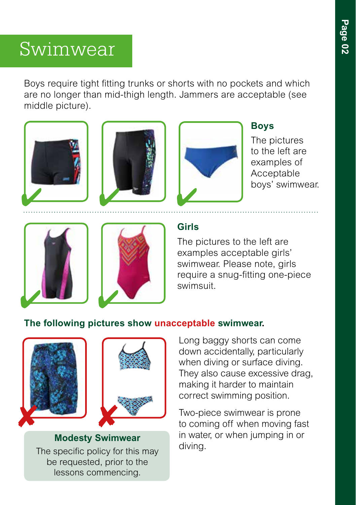# Swimwear

Boys require tight fitting trunks or shorts with no pockets and which are no longer than mid-thigh length. Jammers are acceptable (see middle picture).



The pictures to the left are examples of Acceptable boys' swimwear.





### **Girls**

The pictures to the left are examples acceptable girls' swimwear. Please note, girls require a snug-fitting one-piece swimsuit.

### **The following pictures show unacceptable swimwear.**



**Modesty Swimwear** The specific policy for this may be requested, prior to the lessons commencing.

Long baggy shorts can come down accidentally, particularly when diving or surface diving. They also cause excessive drag, making it harder to maintain correct swimming position.

Two-piece swimwear is prone to coming off when moving fast in water, or when jumping in or diving.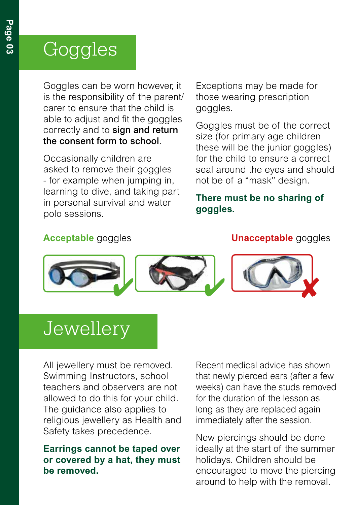# Goggles

Goggles can be worn however, it is the responsibility of the parent/ carer to ensure that the child is able to adjust and fit the goggles correctly and to sign and return the consent form to school.

Occasionally children are asked to remove their goggles - for example when jumping in, learning to dive, and taking part in personal survival and water polo sessions.

Exceptions may be made for those wearing prescription goggles.

Goggles must be of the correct size (for primary age children these will be the junior goggles) for the child to ensure a correct seal around the eyes and should not be of a "mask" design.

#### **There must be no sharing of goggles.**

#### **Acceptable** goggles **Unacceptable** goggles



# **Jewellery**

All jewellery must be removed. Swimming Instructors, school teachers and observers are not allowed to do this for your child. The guidance also applies to religious jewellery as Health and Safety takes precedence.

#### **Earrings cannot be taped over or covered by a hat, they must be removed.**

Recent medical advice has shown that newly pierced ears (after a few weeks) can have the studs removed for the duration of the lesson as long as they are replaced again immediately after the session.

New piercings should be done ideally at the start of the summer holidays. Children should be encouraged to move the piercing around to help with the removal.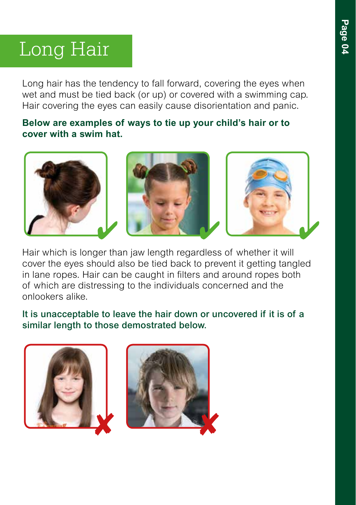# Long Hair

Long hair has the tendency to fall forward, covering the eyes when wet and must be tied back (or up) or covered with a swimming cap. Hair covering the eyes can easily cause disorientation and panic.

#### **Below are examples of ways to tie up your child's hair or to cover with a swim hat.**



Hair which is longer than jaw length regardless of whether it will cover the eyes should also be tied back to prevent it getting tangled in lane ropes. Hair can be caught in filters and around ropes both of which are distressing to the individuals concerned and the onlookers alike.

It is unacceptable to leave the hair down or uncovered if it is of a similar length to those demostrated below.

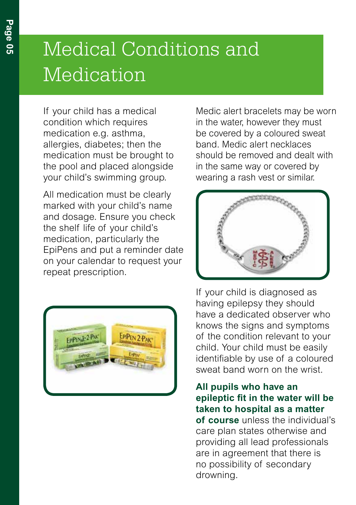# Medical Conditions and Medication

If your child has a medical condition which requires medication e.g. asthma, allergies, diabetes; then the medication must be brought to the pool and placed alongside your child's swimming group.

All medication must be clearly marked with your child's name and dosage. Ensure you check the shelf life of your child's medication, particularly the EpiPens and put a reminder date on your calendar to request your repeat prescription.



Medic alert bracelets may be worn in the water, however they must be covered by a coloured sweat band. Medic alert necklaces should be removed and dealt with in the same way or covered by wearing a rash vest or similar.



If your child is diagnosed as having epilepsy they should have a dedicated observer who knows the signs and symptoms of the condition relevant to your child. Your child must be easily identifiable by use of a coloured sweat band worn on the wrist.

**All pupils who have an epileptic fit in the water will be taken to hospital as a matter of course** unless the individual's care plan states otherwise and providing all lead professionals are in agreement that there is no possibility of secondary drowning.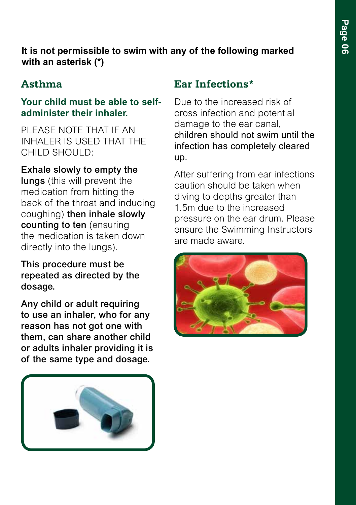#### **It is not permissible to swim with any of the following marked with an asterisk (\*)**

### **Asthma**

#### **Your child must be able to selfadminister their inhaler.**

PI FASE NOTE THAT IF AN INHALER IS USED THAT THE CHILD SHOULD:

#### Exhale slowly to empty the

lungs (this will prevent the medication from hitting the back of the throat and inducing coughing) then inhale slowly counting to ten (ensuring the medication is taken down directly into the lungs).

This procedure must be repeated as directed by the dosage.

Any child or adult requiring to use an inhaler, who for any reason has not got one with them, can share another child or adults inhaler providing it is of the same type and dosage.



#### **Ear Infections\***

Due to the increased risk of cross infection and potential damage to the ear canal, children should not swim until the infection has completely cleared up.

After suffering from ear infections caution should be taken when diving to depths greater than 1.5m due to the increased pressure on the ear drum. Please ensure the Swimming Instructors are made aware.

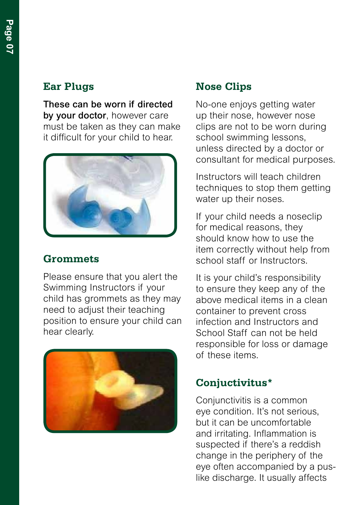### **Ear Plugs**

These can be worn if directed by your doctor, however care must be taken as they can make it difficult for your child to hear.



#### **Grommets**

Please ensure that you alert the Swimming Instructors if your child has grommets as they may need to adjust their teaching position to ensure your child can hear clearly.



### **Nose Clips**

No-one enjoys getting water up their nose, however nose clips are not to be worn during school swimming lessons, unless directed by a doctor or consultant for medical purposes.

Instructors will teach children techniques to stop them getting water up their noses.

If your child needs a noseclip for medical reasons, they should know how to use the item correctly without help from school staff or Instructors.

It is your child's responsibility to ensure they keep any of the above medical items in a clean container to prevent cross infection and Instructors and School Staff can not be held responsible for loss or damage of these items.

### **Conjuctivitus\***

Conjunctivitis is a common eye condition. It's not serious, but it can be uncomfortable and irritating. Inflammation is suspected if there's a reddish change in the periphery of the eye often accompanied by a puslike discharge. It usually affects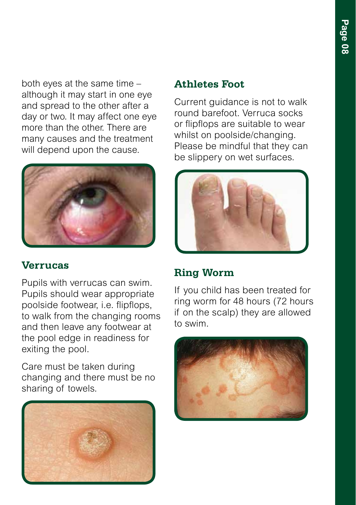both eyes at the same time – although it may start in one eye and spread to the other after a day or two. It may affect one eye more than the other. There are many causes and the treatment will depend upon the cause.



### **Verrucas**

Pupils with verrucas can swim. Pupils should wear appropriate poolside footwear, i.e. flipflops, to walk from the changing rooms and then leave any footwear at the pool edge in readiness for exiting the pool.

Care must be taken during changing and there must be no sharing of towels.



#### **Athletes Foot**

Current guidance is not to walk round barefoot. Verruca socks or flipflops are suitable to wear whilst on poolside/changing. Please be mindful that they can be slippery on wet surfaces.



### **Ring Worm**

If you child has been treated for ring worm for 48 hours (72 hours if on the scalp) they are allowed to swim.

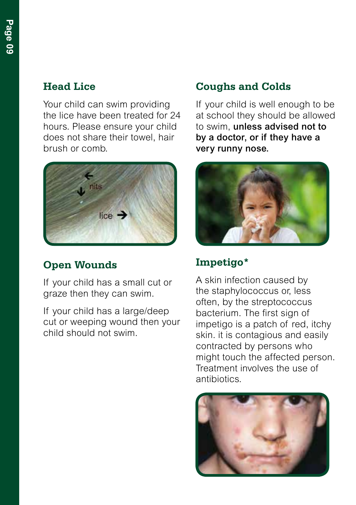Your child can swim providing the lice have been treated for 24 hours. Please ensure your child does not share their towel, hair brush or comb.



## **Open Wounds**

If your child has a small cut or graze then they can swim.

If your child has a large/deep cut or weeping wound then your child should not swim.

### **Coughs and Colds**

If your child is well enough to be at school they should be allowed to swim, unless advised not to by a doctor, or if they have a very runny nose.



### **Impetigo\***

A skin infection caused by the staphylococcus or, less often, by the streptococcus bacterium. The first sign of impetigo is a patch of red, itchy skin. it is contagious and easily contracted by persons who might touch the affected person. Treatment involves the use of antibiotics.

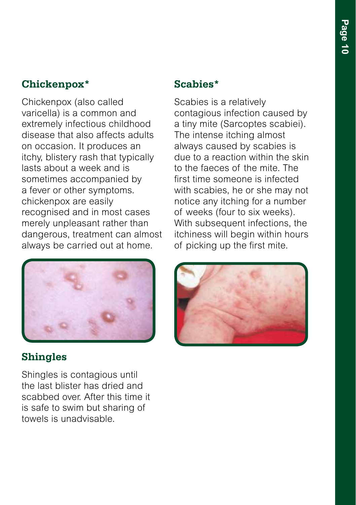# **Chickenpox\***

Chickenpox (also called varicella) is a common and extremely infectious childhood disease that also affects adults on occasion. It produces an itchy, blistery rash that typically lasts about a week and is sometimes accompanied by a fever or other symptoms. chickenpox are easily recognised and in most cases merely unpleasant rather than dangerous, treatment can almost always be carried out at home.



### **Shingles**

Shingles is contagious until the last blister has dried and scabbed over. After this time it is safe to swim but sharing of towels is unadvisable.

### **Scabies\***

Scabies is a relatively contagious infection caused by a tiny mite (Sarcoptes scabiei). The intense itching almost always caused by scabies is due to a reaction within the skin to the faeces of the mite. The first time someone is infected with scabies, he or she may not notice any itching for a number of weeks (four to six weeks). With subsequent infections, the itchiness will begin within hours of picking up the first mite.

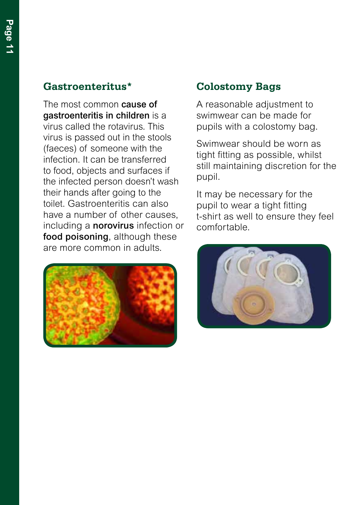#### **Gastroenteritus\***

The most common **cause of** gastroenteritis in children is a virus called the rotavirus. This virus is passed out in the stools (faeces) of someone with the infection. It can be transferred to food, objects and surfaces if the infected person doesn't wash their hands after going to the toilet. Gastroenteritis can also have a number of other causes, including a norovirus infection or food poisoning, although these are more common in adults.



### **Colostomy Bags**

A reasonable adjustment to swimwear can be made for pupils with a colostomy bag.

Swimwear should be worn as tight fitting as possible, whilst still maintaining discretion for the pupil.

It may be necessary for the pupil to wear a tight fitting t-shirt as well to ensure they feel comfortable.

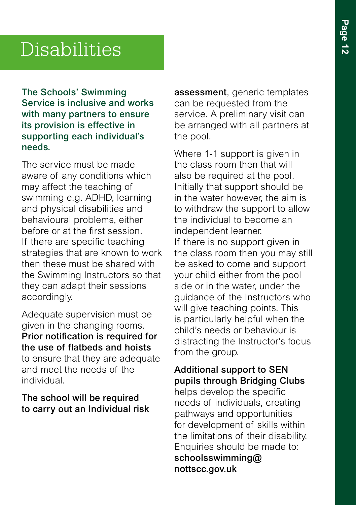# Disabilities

The Schools' Swimming Service is inclusive and works with many partners to ensure its provision is effective in supporting each individual's needs.

The service must be made aware of any conditions which may affect the teaching of swimming e.g. ADHD, learning and physical disabilities and behavioural problems, either before or at the first session. If there are specific teaching strategies that are known to work then these must be shared with the Swimming Instructors so that they can adapt their sessions accordingly.

Adequate supervision must be given in the changing rooms. Prior notification is required for the use of flatbeds and hoists to ensure that they are adequate and meet the needs of the individual.

The school will be required to carry out an Individual risk assessment, generic templates can be requested from the service. A preliminary visit can be arranged with all partners at the pool.

Where 1-1 support is given in the class room then that will also be required at the pool. Initially that support should be in the water however, the aim is to withdraw the support to allow the individual to become an independent learner. If there is no support given in the class room then you may still be asked to come and support your child either from the pool side or in the water, under the guidance of the Instructors who will give teaching points. This is particularly helpful when the child's needs or behaviour is distracting the Instructor's focus from the group.

Additional support to SEN pupils through Bridging Clubs helps develop the specific needs of individuals, creating pathways and opportunities for development of skills within the limitations of their disability. Enquiries should be made to: schoolsswimming@ nottscc.gov.uk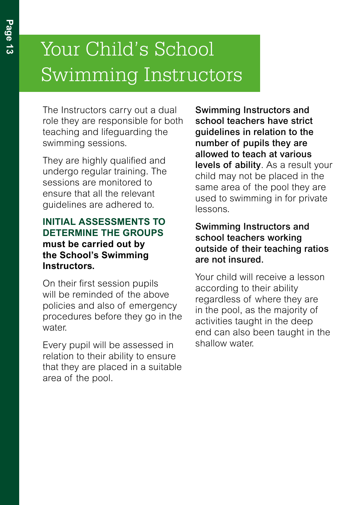# Your Child's School Swimming Instructors

The Instructors carry out a dual role they are responsible for both teaching and lifeguarding the swimming sessions.

They are highly qualified and undergo regular training. The sessions are monitored to ensure that all the relevant guidelines are adhered to.

#### **INITIAL ASSESSMENTS TO DETERMINE THE GROUPS must be carried out by the School's Swimming Instructors.**

On their first session pupils will be reminded of the above policies and also of emergency procedures before they go in the water

Every pupil will be assessed in relation to their ability to ensure that they are placed in a suitable area of the pool.

Swimming Instructors and school teachers have strict guidelines in relation to the number of pupils they are allowed to teach at various levels of ability. As a result your child may not be placed in the same area of the pool they are used to swimming in for private lessons.

#### Swimming Instructors and school teachers working outside of their teaching ratios are not insured.

Your child will receive a lesson according to their ability regardless of where they are in the pool, as the majority of activities taught in the deep end can also been taught in the shallow water.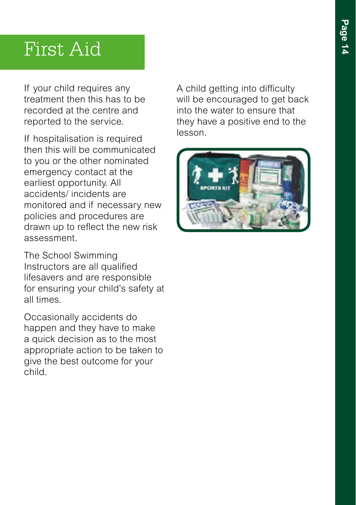# First Aid

If your child requires any treatment then this has to be recorded at the centre and reported to the service.

If hospitalisation is required then this will be communicated to you or the other nominated emergency contact at the earliest opportunity. All accidents/ incidents are monitored and if necessary new policies and procedures are drawn up to reflect the new risk assessment.

The School Swimming Instructors are all qualified lifesavers and are responsible for ensuring your child's safety at all times.

Occasionally accidents do happen and they have to make a quick decision as to the most appropriate action to be taken to give the best outcome for your child.

A child getting into difficulty will be encouraged to get back into the water to ensure that they have a positive end to the lesson.

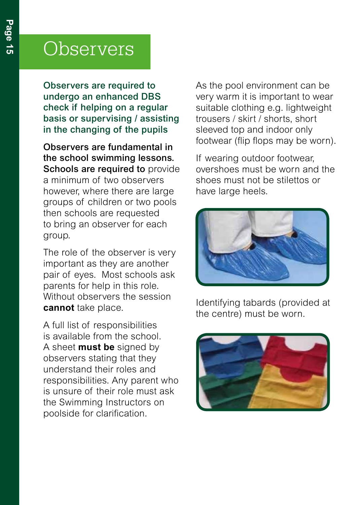# **Observers**

Observers are required to undergo an enhanced DBS check if helping on a regular basis or supervising / assisting in the changing of the pupils

Observers are fundamental in the school swimming lessons. Schools are required to provide a minimum of two observers however, where there are large groups of children or two pools then schools are requested to bring an observer for each group.

The role of the observer is very important as they are another pair of eyes. Most schools ask parents for help in this role. Without observers the session **cannot** take place.

A full list of responsibilities is available from the school. A sheet **must be** signed by observers stating that they understand their roles and responsibilities. Any parent who is unsure of their role must ask the Swimming Instructors on poolside for clarification.

As the pool environment can be very warm it is important to wear suitable clothing e.g. lightweight trousers / skirt / shorts, short sleeved top and indoor only footwear (flip flops may be worn).

If wearing outdoor footwear, overshoes must be worn and the shoes must not be stilettos or have large heels.



Identifying tabards (provided at the centre) must be worn.

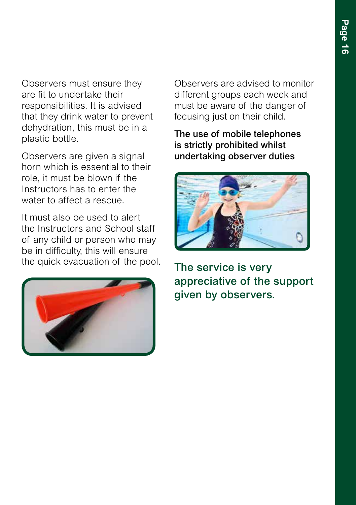Observers must ensure they are fit to undertake their responsibilities. It is advised that they drink water to prevent dehydration, this must be in a plastic bottle.

Observers are given a signal horn which is essential to their role, it must be blown if the Instructors has to enter the water to affect a rescue.

It must also be used to alert the Instructors and School staff of any child or person who may be in difficulty, this will ensure the quick evacuation of the pool.



Observers are advised to monitor different groups each week and must be aware of the danger of focusing just on their child.

The use of mobile telephones is strictly prohibited whilst undertaking observer duties



The service is very appreciative of the support given by observers.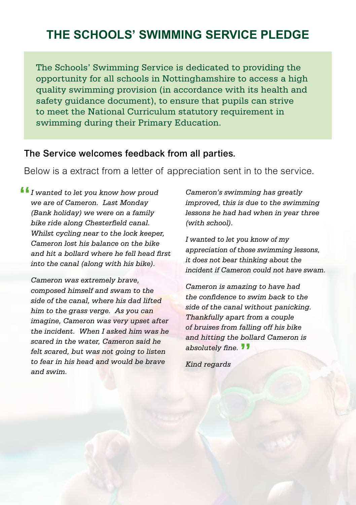# **THE SCHOOLS' SWIMMING SERVICE PLEDGE**

The Schools' Swimming Service is dedicated to providing the opportunity for all schools in Nottinghamshire to access a high quality swimming provision (in accordance with its health and safety guidance document), to ensure that pupils can strive to meet the National Curriculum statutory requirement in swimming during their Primary Education.

#### The Service welcomes feedback from all parties.

Below is a extract from a letter of appreciation sent in to the service.

*I wanted to let you know how proud*  **"** *we are of Cameron. Last Monday (Bank holiday) we were on a family bike ride along Chesterfield canal. Whilst cycling near to the lock keeper, Cameron lost his balance on the bike and hit a bollard where he fell head first into the canal (along with his bike).*

*Cameron was extremely brave, composed himself and swam to the side of the canal, where his dad lifted him to the grass verge. As you can imagine, Cameron was very upset after the incident. When I asked him was he scared in the water, Cameron said he felt scared, but was not going to listen to fear in his head and would be brave and swim.*

*Cameron's swimming has greatly improved, this is due to the swimming lessons he had had when in year three (with school).* 

*I wanted to let you know of my appreciation of those swimming lessons, it does not bear thinking about the incident if Cameron could not have swam.*

*Cameron is amazing to have had the confidence to swim back to the side of the canal without panicking. Thankfully apart from a couple of bruises from falling off his bike and hitting the bollard Cameron is absolutely fine.* **"**

*Kind regards*